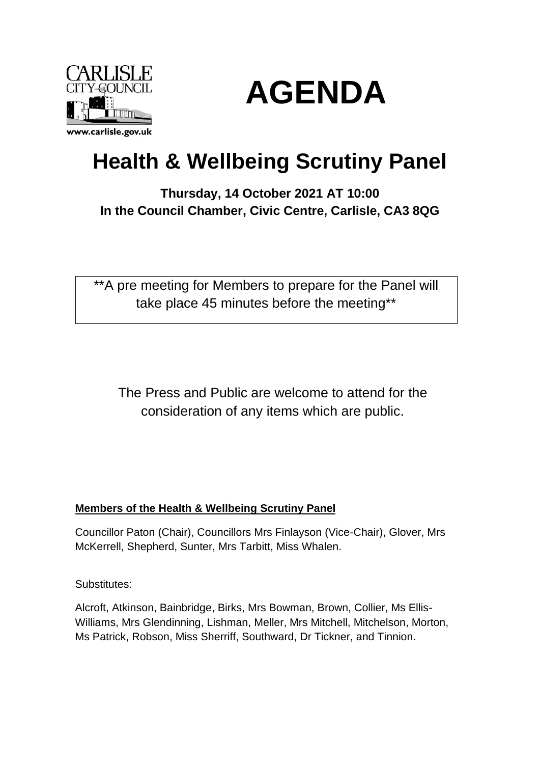



# **Health & Wellbeing Scrutiny Panel**

# **Thursday, 14 October 2021 AT 10:00 In the Council Chamber, Civic Centre, Carlisle, CA3 8QG**

\*\*A pre meeting for Members to prepare for the Panel will take place 45 minutes before the meeting\*\*

The Press and Public are welcome to attend for the consideration of any items which are public.

# **Members of the Health & Wellbeing Scrutiny Panel**

Councillor Paton (Chair), Councillors Mrs Finlayson (Vice-Chair), Glover, Mrs McKerrell, Shepherd, Sunter, Mrs Tarbitt, Miss Whalen.

Substitutes:

Alcroft, Atkinson, Bainbridge, Birks, Mrs Bowman, Brown, Collier, Ms Ellis-Williams, Mrs Glendinning, Lishman, Meller, Mrs Mitchell, Mitchelson, Morton, Ms Patrick, Robson, Miss Sherriff, Southward, Dr Tickner, and Tinnion.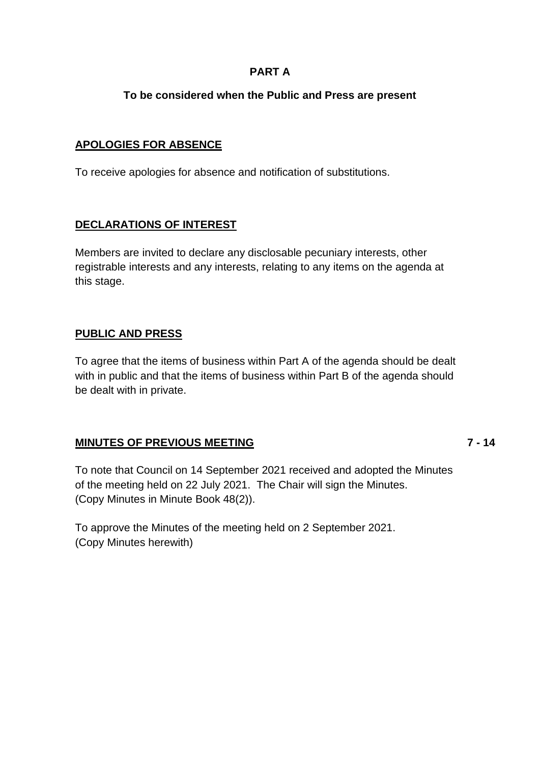# **PART A**

# **To be considered when the Public and Press are present**

### **APOLOGIES FOR ABSENCE**

To receive apologies for absence and notification of substitutions.

# **DECLARATIONS OF INTEREST**

Members are invited to declare any disclosable pecuniary interests, other registrable interests and any interests, relating to any items on the agenda at this stage.

#### **PUBLIC AND PRESS**

To agree that the items of business within Part A of the agenda should be dealt with in public and that the items of business within Part B of the agenda should be dealt with in private.

# **MINUTES OF PREVIOUS MEETING**

**7 - 14**

To note that Council on 14 September 2021 received and adopted the Minutes of the meeting held on 22 July 2021. The Chair will sign the Minutes. (Copy Minutes in Minute Book 48(2)).

To approve the Minutes of the meeting held on 2 September 2021. (Copy Minutes herewith)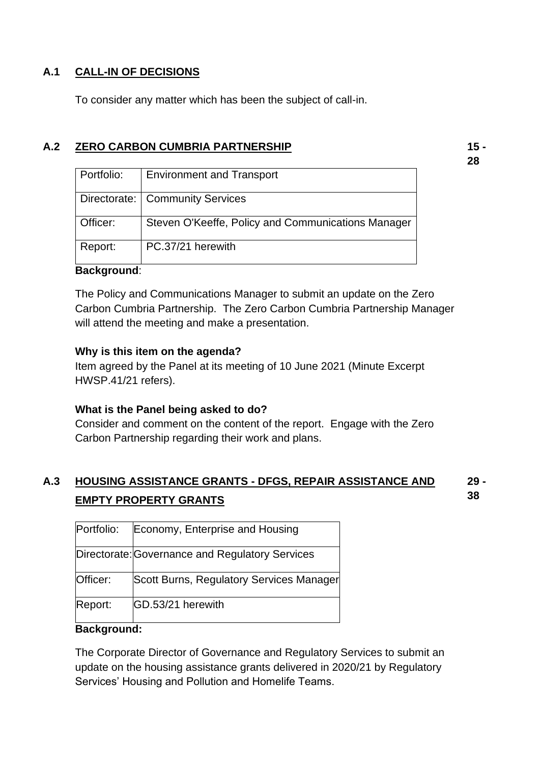# **A.1 CALL-IN OF DECISIONS**

To consider any matter which has been the subject of call-in.

# **A.2 ZERO CARBON CUMBRIA PARTNERSHIP**

| Portfolio: | <b>Environment and Transport</b>                   |
|------------|----------------------------------------------------|
|            | Directorate:   Community Services                  |
| Officer:   | Steven O'Keeffe, Policy and Communications Manager |
| Report:    | PC.37/21 herewith                                  |

#### **Background**:

The Policy and Communications Manager to submit an update on the Zero Carbon Cumbria Partnership. The Zero Carbon Cumbria Partnership Manager will attend the meeting and make a presentation.

#### **Why is this item on the agenda?**

Item agreed by the Panel at its meeting of 10 June 2021 (Minute Excerpt HWSP.41/21 refers).

#### **What is the Panel being asked to do?**

Consider and comment on the content of the report. Engage with the Zero Carbon Partnership regarding their work and plans.

#### **A.3 HOUSING ASSISTANCE GRANTS - DFGS, REPAIR ASSISTANCE AND EMPTY PROPERTY GRANTS 29 - 38**

| Portfolio: | Economy, Enterprise and Housing                 |
|------------|-------------------------------------------------|
|            | Directorate: Governance and Regulatory Services |
| Officer:   | Scott Burns, Regulatory Services Manager        |
| Report:    | GD.53/21 herewith                               |

#### **Background:**

The Corporate Director of Governance and Regulatory Services to submit an update on the housing assistance grants delivered in 2020/21 by Regulatory Services' Housing and Pollution and Homelife Teams.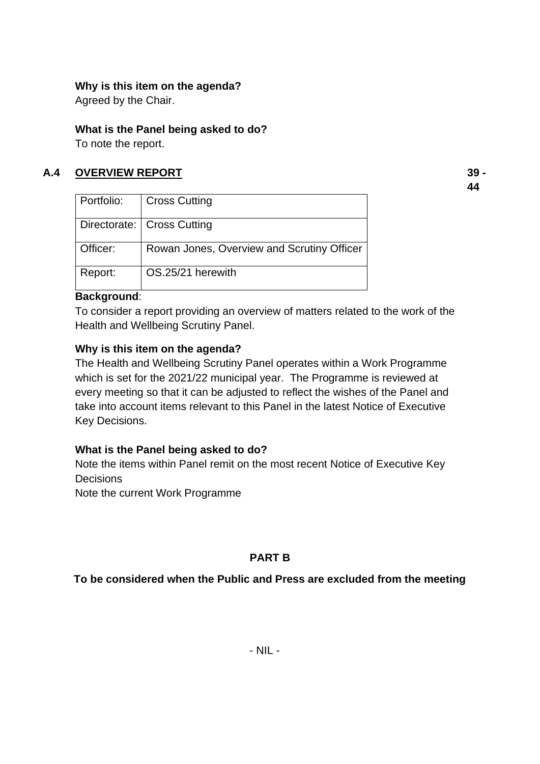### **Why is this item on the agenda?**

Agreed by the Chair.

### **What is the Panel being asked to do?**

To note the report.

# **A.4 OVERVIEW REPORT**

**39 - 44**

| Portfolio: | <b>Cross Cutting</b>                       |
|------------|--------------------------------------------|
|            | Directorate:   Cross Cutting               |
| Officer:   | Rowan Jones, Overview and Scrutiny Officer |
| Report:    | OS.25/21 herewith                          |

# **Background**:

To consider a report providing an overview of matters related to the work of the Health and Wellbeing Scrutiny Panel.

# **Why is this item on the agenda?**

The Health and Wellbeing Scrutiny Panel operates within a Work Programme which is set for the 2021/22 municipal year. The Programme is reviewed at every meeting so that it can be adjusted to reflect the wishes of the Panel and take into account items relevant to this Panel in the latest Notice of Executive Key Decisions.

# **What is the Panel being asked to do?**

Note the items within Panel remit on the most recent Notice of Executive Key **Decisions** 

Note the current Work Programme

# **PART B**

# **To be considered when the Public and Press are excluded from the meeting**